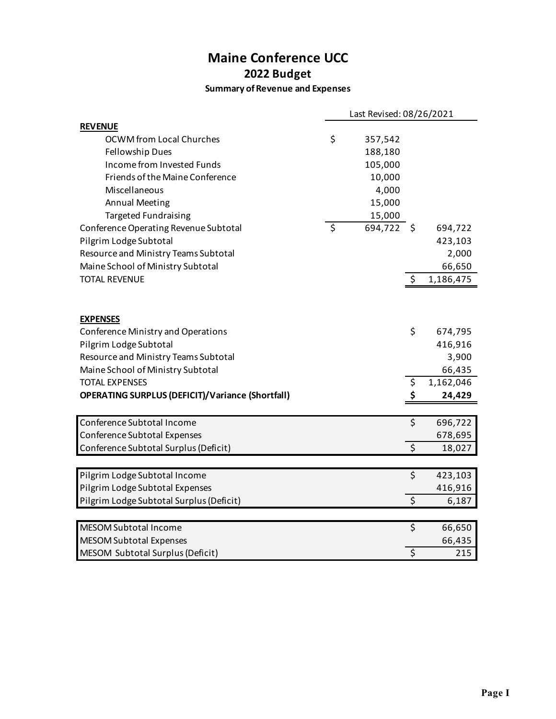## **Maine Conference UCC 2022 Budget**

## **Summary of Revenue and Expenses**

|                                                         |         | Last Revised: 08/26/2021 |                 |
|---------------------------------------------------------|---------|--------------------------|-----------------|
| <b>REVENUE</b>                                          |         |                          |                 |
| <b>OCWM</b> from Local Churches                         | \$      | 357,542                  |                 |
| <b>Fellowship Dues</b>                                  |         | 188,180                  |                 |
| Income from Invested Funds                              |         | 105,000                  |                 |
| Friends of the Maine Conference                         |         | 10,000                   |                 |
| Miscellaneous                                           |         | 4,000                    |                 |
| <b>Annual Meeting</b>                                   |         | 15,000                   |                 |
| <b>Targeted Fundraising</b>                             |         | 15,000                   |                 |
| Conference Operating Revenue Subtotal                   | $\zeta$ | 694,722                  | \$<br>694,722   |
| Pilgrim Lodge Subtotal                                  |         |                          | 423,103         |
| Resource and Ministry Teams Subtotal                    |         |                          | 2,000           |
| Maine School of Ministry Subtotal                       |         |                          | 66,650          |
| <b>TOTAL REVENUE</b>                                    |         |                          | \$<br>1,186,475 |
|                                                         |         |                          |                 |
| <b>EXPENSES</b>                                         |         |                          |                 |
| Conference Ministry and Operations                      |         |                          | \$<br>674,795   |
| Pilgrim Lodge Subtotal                                  |         |                          | 416,916         |
| Resource and Ministry Teams Subtotal                    |         |                          | 3,900           |
| Maine School of Ministry Subtotal                       |         |                          | 66,435          |
| <b>TOTAL EXPENSES</b>                                   |         |                          | \$<br>1,162,046 |
| <b>OPERATING SURPLUS (DEFICIT)/Variance (Shortfall)</b> |         |                          | \$<br>24,429    |
| Conference Subtotal Income                              |         |                          | \$<br>696,722   |
| Conference Subtotal Expenses                            |         |                          | 678,695         |
| Conference Subtotal Surplus (Deficit)                   |         |                          | \$<br>18,027    |
|                                                         |         |                          |                 |
| Pilgrim Lodge Subtotal Income                           |         |                          | \$<br>423,103   |
| Pilgrim Lodge Subtotal Expenses                         |         |                          | 416,916         |
| Pilgrim Lodge Subtotal Surplus (Deficit)                |         |                          | \$<br>6,187     |
|                                                         |         |                          |                 |
| <b>MESOM Subtotal Income</b>                            |         |                          | \$<br>66,650    |
| <b>MESOM Subtotal Expenses</b>                          |         |                          | 66,435          |
| MESOM Subtotal Surplus (Deficit)                        |         |                          | \$<br>215       |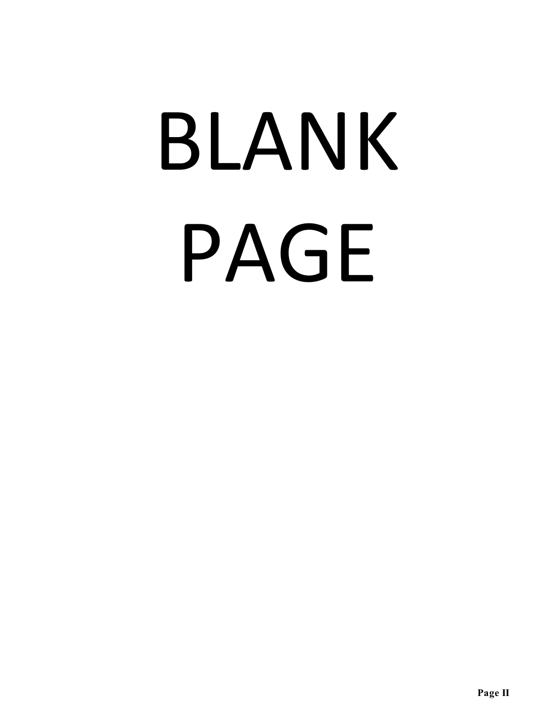## BLANK PAGE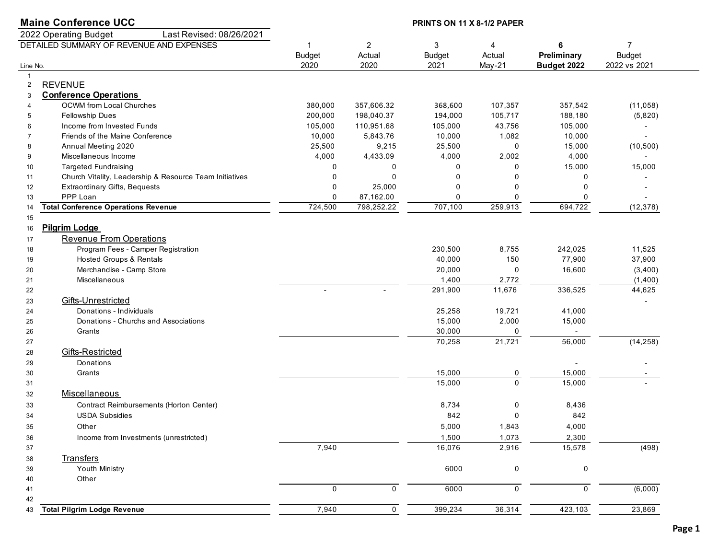|                | <b>Maine Conference UCC</b>                             | PRINTS ON 11 X 8-1/2 PAPER |             |               |              |                |                          |  |
|----------------|---------------------------------------------------------|----------------------------|-------------|---------------|--------------|----------------|--------------------------|--|
|                | 2022 Operating Budget<br>Last Revised: 08/26/2021       |                            |             |               |              |                |                          |  |
|                | DETAILED SUMMARY OF REVENUE AND EXPENSES                | 1                          | 2           | 3             | 4            | 6              | $\overline{7}$           |  |
|                |                                                         | <b>Budget</b>              | Actual      | <b>Budget</b> | Actual       | Preliminary    | <b>Budget</b>            |  |
| Line No.       |                                                         | 2020                       | 2020        | 2021          | May-21       | Budget 2022    | 2022 vs 2021             |  |
| $\mathbf{1}$   |                                                         |                            |             |               |              |                |                          |  |
| $\overline{2}$ | <b>REVENUE</b>                                          |                            |             |               |              |                |                          |  |
| 3              | <b>Conference Operations</b>                            |                            |             |               |              |                |                          |  |
|                | <b>OCWM</b> from Local Churches                         | 380,000                    | 357,606.32  | 368,600       | 107,357      | 357,542        | (11, 058)                |  |
| 5              | <b>Fellowship Dues</b>                                  | 200,000                    | 198,040.37  | 194,000       | 105,717      | 188,180        | (5,820)                  |  |
| 6              | Income from Invested Funds                              | 105,000                    | 110,951.68  | 105,000       | 43,756       | 105,000        | $\overline{\phantom{a}}$ |  |
|                | Friends of the Maine Conference                         | 10,000                     | 5,843.76    | 10,000        | 1,082        | 10,000         | $\sim$                   |  |
| 8              | Annual Meeting 2020                                     | 25,500                     | 9,215       | 25,500        | 0            | 15,000         | (10, 500)                |  |
| 9              | Miscellaneous Income                                    | 4,000                      | 4,433.09    | 4,000         | 2,002        | 4,000          |                          |  |
| 10             | <b>Targeted Fundraising</b>                             | 0                          | 0           | 0             | 0            | 15,000         | 15,000                   |  |
| 11             | Church Vitality, Leadership & Resource Team Initiatives | 0                          | $\mathbf 0$ | 0             | $\mathbf 0$  | 0              |                          |  |
| 12             | <b>Extraordinary Gifts, Bequests</b>                    | 0                          | 25,000      | 0             | $\mathbf 0$  | 0              |                          |  |
| 13             | PPP Loan                                                | 0                          | 87,162.00   | 0             | $\mathbf 0$  | 0              |                          |  |
| 14             | <b>Total Conference Operations Revenue</b>              | 724,500                    | 798,252.22  | 707,100       | 259,913      | 694,722        | (12, 378)                |  |
| 15             |                                                         |                            |             |               |              |                |                          |  |
| 16             | <b>Pilgrim Lodge</b>                                    |                            |             |               |              |                |                          |  |
| 17             | <b>Revenue From Operations</b>                          |                            |             |               |              |                |                          |  |
| 18             | Program Fees - Camper Registration                      |                            |             | 230,500       | 8,755        | 242,025        | 11,525                   |  |
| 19             | <b>Hosted Groups &amp; Rentals</b>                      |                            |             | 40,000        | 150          | 77,900         | 37,900                   |  |
| 20             | Merchandise - Camp Store                                |                            |             | 20,000        | $\mathbf 0$  | 16,600         | (3,400)                  |  |
| 21             | Miscellaneous                                           |                            |             | 1,400         | 2,772        |                | (1,400)                  |  |
| 22             |                                                         |                            |             | 291,900       | 11,676       | 336,525        | 44,625                   |  |
| 23             | Gifts-Unrestricted                                      |                            |             |               |              |                |                          |  |
| 24             | Donations - Individuals                                 |                            |             | 25,258        | 19,721       | 41,000         |                          |  |
| 25             | Donations - Churchs and Associations                    |                            |             | 15,000        | 2,000        | 15,000         |                          |  |
| 26             | Grants                                                  |                            |             | 30,000        | 0            |                |                          |  |
|                |                                                         |                            |             | 70,258        | 21,721       | 56,000         | (14, 258)                |  |
| 27             |                                                         |                            |             |               |              |                |                          |  |
| 28             | Gifts-Restricted                                        |                            |             |               |              |                |                          |  |
| 29             | Donations                                               |                            |             |               |              | $\overline{a}$ |                          |  |
| 30             | Grants                                                  |                            |             | 15,000        | 0            | 15,000         |                          |  |
| 31             |                                                         |                            |             | 15,000        | $\mathbf{0}$ | 15,000         |                          |  |
| 32             | Miscellaneous                                           |                            |             |               |              |                |                          |  |
| 33             | Contract Reimbursements (Horton Center)                 |                            |             | 8,734         | 0            | 8,436          |                          |  |
| 34             | <b>USDA Subsidies</b>                                   |                            |             | 842           | 0            | 842            |                          |  |
| 35             | Other                                                   |                            |             | 5,000         | 1,843        | 4,000          |                          |  |
| 36             | Income from Investments (unrestricted)                  |                            |             | 1,500         | 1,073        | 2,300          |                          |  |
| 37             |                                                         | 7,940                      |             | 16,076        | 2,916        | 15,578         | (498)                    |  |
| 38             | <b>Transfers</b>                                        |                            |             |               |              |                |                          |  |
| 39             | Youth Ministry                                          |                            |             | 6000          | 0            | $\mathbf 0$    |                          |  |
| 40             | Other                                                   |                            |             |               |              |                |                          |  |
| 41             |                                                         | $\Omega$                   | $\mathbf 0$ | 6000          | $\mathbf 0$  | 0              | (6,000)                  |  |
| 42             |                                                         |                            |             |               |              |                |                          |  |
| 43             | <b>Total Pilgrim Lodge Revenue</b>                      | 7,940                      | 0           | 399,234       | 36,314       | 423,103        | 23,869                   |  |
|                |                                                         |                            |             |               |              |                |                          |  |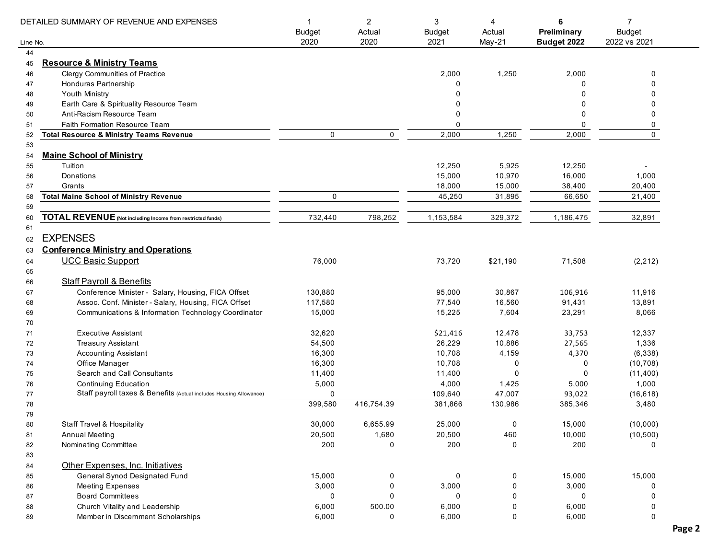|          | DETAILED SUMMARY OF REVENUE AND EXPENSES                           | $\mathbf{1}$<br><b>Budget</b> | $\overline{2}$<br>Actual | $\mathbf{3}$<br><b>Budget</b> | 4<br>Actual | 6<br>Preliminary | $\overline{7}$<br><b>Budget</b> |
|----------|--------------------------------------------------------------------|-------------------------------|--------------------------|-------------------------------|-------------|------------------|---------------------------------|
| Line No. |                                                                    | 2020                          | 2020                     | 2021                          | May-21      | Budget 2022      | 2022 vs 2021                    |
| 44       |                                                                    |                               |                          |                               |             |                  |                                 |
| 45       | <b>Resource &amp; Ministry Teams</b>                               |                               |                          |                               |             |                  |                                 |
| 46       | Clergy Communities of Practice                                     |                               |                          | 2,000                         | 1,250       | 2,000            | 0                               |
| 47       | Honduras Partnership                                               |                               |                          |                               |             |                  | O                               |
| 48       | Youth Ministry                                                     |                               |                          |                               |             |                  |                                 |
| 49       | Earth Care & Spirituality Resource Team                            |                               |                          |                               |             | 0                |                                 |
| 50       | Anti-Racism Resource Team                                          |                               |                          | 0                             |             | 0                | 0                               |
| 51       | Faith Formation Resource Team                                      |                               |                          | $\Omega$                      |             | $\Omega$         | 0                               |
| 52       | <b>Total Resource &amp; Ministry Teams Revenue</b>                 | $\mathbf 0$                   | 0                        | 2,000                         | 1,250       | 2,000            | $\mathbf 0$                     |
| 53       |                                                                    |                               |                          |                               |             |                  |                                 |
| 54       | <b>Maine School of Ministry</b>                                    |                               |                          |                               |             |                  |                                 |
| 55       | Tuition                                                            |                               |                          | 12,250                        | 5,925       | 12,250           |                                 |
| 56       | Donations                                                          |                               |                          | 15,000                        | 10,970      | 16,000           | 1,000                           |
| 57       | Grants                                                             |                               |                          | 18,000                        | 15,000      | 38,400           | 20,400                          |
| 58       | <b>Total Maine School of Ministry Revenue</b>                      | $\Omega$                      |                          | 45,250                        | 31,895      | 66,650           | 21,400                          |
| 59       |                                                                    |                               |                          |                               |             |                  |                                 |
| 60       | <b>TOTAL REVENUE</b> (Not including Income from restricted funds)  | 732,440                       | 798,252                  | 1,153,584                     | 329,372     | 1,186,475        | 32,891                          |
| 61       |                                                                    |                               |                          |                               |             |                  |                                 |
| 62       | <b>EXPENSES</b>                                                    |                               |                          |                               |             |                  |                                 |
| 63       | <b>Conference Ministry and Operations</b>                          |                               |                          |                               |             |                  |                                 |
| 64       | <b>UCC Basic Support</b>                                           | 76,000                        |                          | 73,720                        | \$21,190    | 71,508           | (2, 212)                        |
| 65       |                                                                    |                               |                          |                               |             |                  |                                 |
| 66       | <b>Staff Payroll &amp; Benefits</b>                                |                               |                          |                               |             |                  |                                 |
| 67       | Conference Minister - Salary, Housing, FICA Offset                 | 130,880                       |                          | 95,000                        | 30,867      | 106,916          | 11,916                          |
| 68       | Assoc. Conf. Minister - Salary, Housing, FICA Offset               | 117,580                       |                          | 77,540                        | 16,560      | 91,431           | 13,891                          |
| 69       | Communications & Information Technology Coordinator                | 15,000                        |                          | 15,225                        | 7,604       | 23,291           | 8,066                           |
| 70       |                                                                    |                               |                          |                               |             |                  |                                 |
| 71       | <b>Executive Assistant</b>                                         | 32,620                        |                          | \$21,416                      | 12,478      | 33,753           | 12,337                          |
| 72       | <b>Treasury Assistant</b>                                          | 54,500                        |                          | 26,229                        | 10,886      | 27,565           | 1,336                           |
| 73       | <b>Accounting Assistant</b>                                        | 16,300                        |                          | 10,708                        | 4,159       | 4,370            | (6, 338)                        |
| 74       | Office Manager                                                     | 16,300                        |                          | 10,708                        | 0           | 0                | (10, 708)                       |
| 75       | Search and Call Consultants                                        | 11,400                        |                          | 11,400                        | $\Omega$    | 0                | (11, 400)                       |
| 76       | <b>Continuing Education</b>                                        | 5,000                         |                          | 4,000                         | 1,425       | 5,000            | 1,000                           |
| 77       | Staff payroll taxes & Benefits (Actual includes Housing Allowance) | $\mathbf{0}$                  |                          | 109,640                       | 47,007      | 93,022           | (16, 618)                       |
| 78       |                                                                    | 399,580                       | 416,754.39               | 381,866                       | 130,986     | 385,346          | 3,480                           |
| 79       |                                                                    |                               |                          |                               |             |                  |                                 |
| 80       | <b>Staff Travel &amp; Hospitality</b>                              | 30,000                        | 6,655.99                 | 25,000                        | 0           | 15,000           | (10,000)                        |
| 81       | <b>Annual Meeting</b>                                              | 20,500                        | 1,680                    | 20,500                        | 460         | 10,000           | (10, 500)                       |
| 82       | Nominating Committee                                               | 200                           | 0                        | 200                           | 0           | 200              | 0                               |
| 83       |                                                                    |                               |                          |                               |             |                  |                                 |
| 84       | Other Expenses, Inc. Initiatives                                   |                               |                          |                               |             |                  |                                 |
| 85       | General Synod Designated Fund                                      | 15,000                        | 0                        | 0                             | 0           | 15,000           | 15,000                          |
| 86       | <b>Meeting Expenses</b>                                            | 3,000                         | 0                        | 3,000                         | $\Omega$    | 3,000            | 0                               |
| 87       | <b>Board Committees</b>                                            | 0                             | 0                        | 0                             | 0           | 0                | 0                               |
| 88       | Church Vitality and Leadership                                     | 6,000                         | 500.00                   | 6,000                         | 0           | 6,000            | 0                               |
| 89       | Member in Discernment Scholarships                                 | 6,000                         | 0                        | 6,000                         | 0           | 6,000            | 0                               |
|          |                                                                    |                               |                          |                               |             |                  |                                 |

 $\overline{\phantom{a}}$ 

÷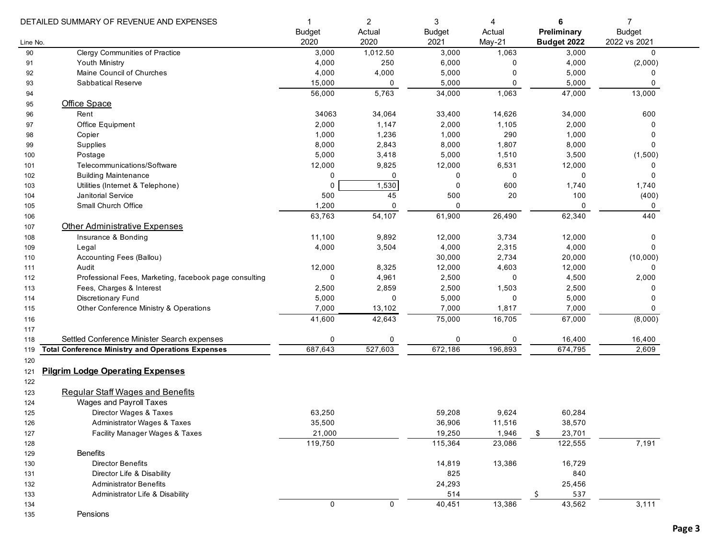|          | DETAILED SUMMARY OF REVENUE AND EXPENSES                 | 1             | $\overline{c}$ | 3             | 4          | 6               | $\overline{7}$ |
|----------|----------------------------------------------------------|---------------|----------------|---------------|------------|-----------------|----------------|
|          |                                                          | <b>Budget</b> | Actual         | <b>Budget</b> | Actual     | Preliminary     | <b>Budget</b>  |
| Line No. |                                                          | 2020          | 2020           | 2021          | May-21     | Budget 2022     | 2022 vs 2021   |
| 90       | <b>Clergy Communities of Practice</b>                    | 3,000         | 1,012.50       | 3,000         | 1,063      | 3,000           | $\mathbf 0$    |
| 91       | Youth Ministry                                           | 4,000         | 250            | 6,000         | 0          | 4,000           | (2,000)        |
| 92       | Maine Council of Churches                                | 4,000         | 4,000          | 5,000         | 0          | 5,000           | 0              |
| 93       | <b>Sabbatical Reserve</b>                                | 15,000        | 0              | 5,000         | 0          | 5,000           | 0              |
| 94       |                                                          | 56,000        | 5,763          | 34,000        | 1,063      | 47,000          | 13,000         |
| 95       | Office Space                                             |               |                |               |            |                 |                |
| 96       | Rent                                                     | 34063         | 34,064         | 33,400        | 14,626     | 34,000          | 600            |
| 97       | Office Equipment                                         | 2,000         | 1,147          | 2,000         | 1,105      | 2,000           | 0              |
| 98       | Copier                                                   | 1,000         | 1,236          | 1,000         | 290        | 1,000           | 0              |
| 99       | Supplies                                                 | 8,000         | 2,843          | 8,000         | 1,807      | 8,000           | $\Omega$       |
| 100      | Postage                                                  | 5,000         | 3,418          | 5,000         | 1,510      | 3,500           | (1,500)        |
| 101      | Telecommunications/Software                              | 12,000        | 9,825          | 12,000        | 6,531      | 12,000          | 0              |
| 102      | <b>Building Maintenance</b>                              | 0             | 0              | 0             | 0          | 0               | $\mathbf 0$    |
| 103      | Utilities (Internet & Telephone)                         | 0             | 1,530          | 0             | 600        | 1,740           | 1,740          |
| 104      | Janitorial Service                                       | 500           | 45             | 500           | 20         | 100             | (400)          |
| 105      | Small Church Office                                      | 1,200         | $\mathbf 0$    | 0             |            | 0               | 0              |
| 106      |                                                          | 63,763        | 54,107         | 61,900        | 26,490     | 62,340          | 440            |
| 107      | <b>Other Administrative Expenses</b>                     |               |                |               |            |                 |                |
| 108      | Insurance & Bonding                                      | 11,100        | 9,892          | 12,000        | 3,734      | 12,000          | 0              |
| 109      | Legal                                                    | 4,000         | 3,504          | 4,000         | 2,315      | 4,000           | $\Omega$       |
|          | Accounting Fees (Ballou)                                 |               |                | 30,000        | 2,734      | 20,000          | (10,000)       |
| 110      |                                                          |               |                |               |            |                 |                |
| 111      | Audit                                                    | 12,000        | 8,325<br>4,961 | 12,000        | 4,603<br>0 | 12,000<br>4,500 | 0<br>2,000     |
| 112      | Professional Fees, Marketing, facebook page consulting   | 0             |                | 2,500         |            |                 | 0              |
| 113      | Fees, Charges & Interest                                 | 2,500         | 2,859          | 2,500         | 1,503      | 2,500           |                |
| 114      | Discretionary Fund                                       | 5,000         | $\mathbf 0$    | 5,000         | 0          | 5,000           | 0              |
| 115      | Other Conference Ministry & Operations                   | 7,000         | 13,102         | 7,000         | 1,817      | 7,000           | 0              |
| 116      |                                                          | 41,600        | 42,643         | 75,000        | 16,705     | 67,000          | (8,000)        |
| 117      |                                                          |               |                |               |            |                 |                |
| 118      | Settled Conference Minister Search expenses              | 0             | 0              | 0             | 0          | 16,400          | 16,400         |
| 119      | <b>Total Conference Ministry and Operations Expenses</b> | 687,643       | 527,603        | 672,186       | 196,893    | 674,795         | 2,609          |
| 120      |                                                          |               |                |               |            |                 |                |
| 121      | <b>Pilgrim Lodge Operating Expenses</b>                  |               |                |               |            |                 |                |
| 122      |                                                          |               |                |               |            |                 |                |
| 123      | <b>Reqular Staff Wages and Benefits</b>                  |               |                |               |            |                 |                |
| 124      | Wages and Payroll Taxes                                  |               |                |               |            |                 |                |
| 125      | Director Wages & Taxes                                   | 63,250        |                | 59,208        | 9,624      | 60,284          |                |
| 126      | <b>Administrator Wages &amp; Taxes</b>                   | 35,500        |                | 36,906        | 11,516     | 38,570          |                |
| 127      | <b>Facility Manager Wages &amp; Taxes</b>                | 21,000        |                | 19,250        | 1,946      | \$<br>23,701    |                |
| 128      |                                                          | 119,750       |                | 115,364       | 23,086     | 122,555         | 7,191          |
| 129      | <b>Benefits</b>                                          |               |                |               |            |                 |                |
| 130      | <b>Director Benefits</b>                                 |               |                | 14,819        | 13,386     | 16,729          |                |
| 131      | Director Life & Disability                               |               |                | 825           |            | 840             |                |
| 132      | <b>Administrator Benefits</b>                            |               |                | 24,293        |            | 25,456          |                |
| 133      | Administrator Life & Disability                          |               |                | 514           |            | \$<br>537       |                |
| 134      |                                                          | $\mathbf 0$   | $\mathsf{O}$   | 40,451        | 13,386     | 43,562          | 3,111          |
| 135      | Pensions                                                 |               |                |               |            |                 |                |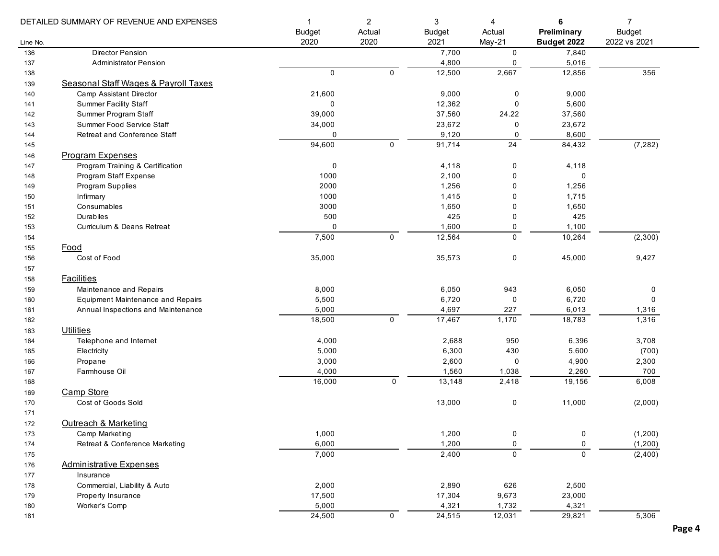| DETAILED SUMMARY OF REVENUE AND EXPENSES |                                          | $\mathbf{1}$  | $\overline{c}$ | 3             | 4                | 6           | $\overline{7}$ |
|------------------------------------------|------------------------------------------|---------------|----------------|---------------|------------------|-------------|----------------|
|                                          |                                          | <b>Budget</b> | Actual         | <b>Budget</b> | Actual           | Preliminary | <b>Budget</b>  |
| Line No.                                 |                                          | 2020          | 2020           | 2021          | May-21           | Budget 2022 | 2022 vs 2021   |
| 136                                      | Director Pension                         |               |                | 7,700         | $\mathbf 0$      | 7,840       |                |
| 137                                      | <b>Administrator Pension</b>             |               |                | 4,800         | 0                | 5,016       |                |
| 138                                      |                                          | $\pmb{0}$     | 0              | 12,500        | 2,667            | 12,856      | 356            |
| 139                                      | Seasonal Staff Wages & Payroll Taxes     |               |                |               |                  |             |                |
| 140                                      | Camp Assistant Director                  | 21,600        |                | 9,000         | 0                | 9,000       |                |
| 141                                      | <b>Summer Facility Staff</b>             | $\mathbf 0$   |                | 12,362        | 0                | 5,600       |                |
| 142                                      | Summer Program Staff                     | 39,000        |                | 37,560        | 24.22            | 37,560      |                |
| 143                                      | Summer Food Service Staff                | 34,000        |                | 23,672        | 0                | 23,672      |                |
| 144                                      | Retreat and Conference Staff             | $\mathbf 0$   |                | 9,120         | 0                | 8,600       |                |
| 145                                      |                                          | 94,600        | $\mathbf 0$    | 91,714        | 24               | 84,432      | (7, 282)       |
| 146                                      | <b>Program Expenses</b>                  |               |                |               |                  |             |                |
| 147                                      | Program Training & Certification         | 0             |                | 4,118         | 0                | 4,118       |                |
| 148                                      | Program Staff Expense                    | 1000          |                | 2,100         | 0                | 0           |                |
| 149                                      | Program Supplies                         | 2000          |                | 1,256         | 0                | 1,256       |                |
| 150                                      | Infirmary                                | 1000          |                | 1,415         | 0                | 1,715       |                |
| 151                                      | Consumables                              | 3000          |                | 1,650         | 0                | 1,650       |                |
| 152                                      | <b>Durabiles</b>                         | 500           |                | 425           | 0                | 425         |                |
| 153                                      | Curriculum & Deans Retreat               | 0             |                | 1,600         | 0                | 1,100       |                |
| 154                                      |                                          | 7,500         | $\mathbf 0$    | 12,564        | $\mathbf 0$      | 10,264      | (2,300)        |
| 155                                      | Food                                     |               |                |               |                  |             |                |
| 156                                      | Cost of Food                             | 35,000        |                | 35,573        | $\mathbf 0$      | 45,000      | 9,427          |
| 157                                      |                                          |               |                |               |                  |             |                |
| 158                                      | <b>Facilities</b>                        |               |                |               |                  |             |                |
| 159                                      | Maintenance and Repairs                  | 8,000         |                | 6,050         | 943              | 6,050       | 0              |
| 160                                      | <b>Equipment Maintenance and Repairs</b> | 5,500         |                | 6,720         | 0                | 6,720       | $\mathbf 0$    |
| 161                                      | Annual Inspections and Maintenance       | 5,000         |                | 4,697         | 227              | 6,013       | 1,316          |
| 162                                      |                                          | 18,500        | 0              | 17,467        | 1,170            | 18,783      | 1,316          |
| 163                                      | Utilities                                |               |                |               |                  |             |                |
| 164                                      | Telephone and Internet                   | 4,000         |                | 2,688         | 950              | 6,396       | 3,708          |
| 165                                      | Electricity                              | 5,000         |                | 6,300         | 430              | 5,600       | (700)          |
| 166                                      | Propane                                  | 3,000         |                | 2,600         | 0                | 4,900       | 2,300          |
| 167                                      | Farmhouse Oil                            | 4,000         |                | 1,560         | 1,038            | 2,260       | 700            |
| 168                                      |                                          | 16,000        | 0              | 13,148        | 2,418            | 19,156      | 6,008          |
| 169                                      | <b>Camp Store</b>                        |               |                |               |                  |             |                |
| 170                                      | Cost of Goods Sold                       |               |                | 13,000        | $\boldsymbol{0}$ | 11,000      | (2,000)        |
| 171                                      |                                          |               |                |               |                  |             |                |
| 172                                      | Outreach & Marketing                     |               |                |               |                  |             |                |
| 173                                      | Camp Marketing                           | 1,000         |                | 1,200         | 0                | $\pmb{0}$   | (1, 200)       |
| 174                                      | Retreat & Conference Marketing           | 6,000         |                | 1,200         | 0                | 0           | (1, 200)       |
| 175                                      |                                          | 7,000         |                | 2,400         | $\mathbf 0$      | $\mathbf 0$ | (2,400)        |
| 176                                      | <b>Administrative Expenses</b>           |               |                |               |                  |             |                |
| 177                                      | Insurance                                |               |                |               |                  |             |                |
| 178                                      | Commercial, Liability & Auto             | 2,000         |                | 2,890         | 626              | 2,500       |                |
| 179                                      | Property Insurance                       | 17,500        |                | 17,304        | 9,673            | 23,000      |                |
| 180                                      | Worker's Comp                            | 5,000         |                | 4,321         | 1,732            | 4,321       |                |
| 181                                      |                                          | 24,500        | $\mathbf 0$    | 24,515        | 12,031           | 29,821      | 5,306          |

 $\sim$